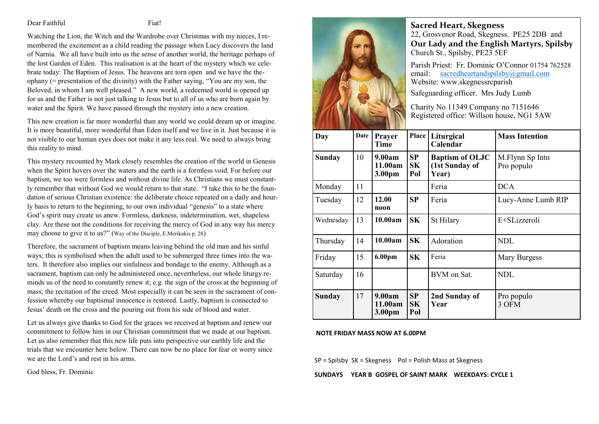#### Dear Faithful Fiat!

Watching the Lion, the Witch and the Wardrobe over Christmas with my nieces, I remembered the excitement as a child reading the passage when Lucy discovers the land of Narnia. We all have built into us the sense of another world, the heritage perhaps of the lost Garden of Eden. This realisation is at the heart of the mystery which we celebrate today: The Baptism of Jesus. The heavens are torn open and we have the theophany (= presentation of the divinity) with the Father saying, "You are my son, the Beloved, in whom I am well pleased." A new world, a redeemed world is opened up for us and the Father is not just talking to Jesus but to all of us who are born again by water and the Spirit. We have passed through the mystery into a new creation.

This new creation is far more wonderful than any world we could dream up or imagine. It is more beautiful, more wonderful than Eden itself and we live in it. Just because it is not visible to our human eyes does not make it any less real. We need to always bring this reality to mind.

This mystery recounted by Mark closely resembles the creation of the world in Genesis when the Spirit hovers over the waters and the earth is a formless void. For before our baptism, we too were formless and without divine life. As Christians we must constantly remember that without God we would return to that state. "I take this to be the foundation of serious Christian existence: the deliberate choice repeated on a daily and hourly basis to return to the beginning, to our own individual "genesis" to a state where God's spirit may create us anew. Formless, darkness, indetermination, wet, shapeless clay. Are these not the conditions for receiving the mercy of God in any way his mercy may choose to give it to us?" (Way of the Disciple, E.Merikakis p. 28)

Therefore, the sacrament of baptism means leaving behind the old man and his sinful ways; this is symbolised when the adult used to be submerged three times into the waters. It therefore also implies our sinfulness and bondage to the enemy. Although as a sacrament, baptism can only be administered once, nevertheless, our whole liturgy reminds us of the need to constantly renew it; e.g. the sign of the cross at the beginning of mass; the recitation of the creed. Most especially it can be seen in the sacrament of confession whereby our baptismal innocence is restored. Lastly, baptism is connected to Jesus' death on the cross and the pouring out from his side of blood and water.

Let us always give thanks to God for the graces we received at baptism and renew our commitment to follow him in our Christian commitment that we made at our baptism. Let us also remember that this new life puts into perspective our earthly life and the trials that we encounter here below. There can now be no place for fear or worry since we are the Lord's and rest in his arms.

God bless, Fr. Dominic



**Sacred Heart, Skegness**  22, Grosvenor Road, Skegness. PE25 2DB and **Our Lady and the English Martyrs, Spilsby** Church St., Spilsby, PE23 5EF

Parish Priest: Fr. Dominic O'Connor 01754 762528 email: sacredheartandspilsby@gmail.com Website: www.skegnessrcparish

Safeguarding officer. Mrs Judy Lumb

Charity No 11349 Company no 7151646 Registered office: Willson house, NG1 5AW

| Day           | Date | Prayer<br>Time              | Place                  | Liturgical<br>Calendar                            | <b>Mass Intention</b>         |
|---------------|------|-----------------------------|------------------------|---------------------------------------------------|-------------------------------|
| <b>Sunday</b> | 10   | 9.00am<br>11.00am<br>3.00pm | SP<br>SK<br>Pol        | <b>Baptism of OLJC</b><br>(1st Sunday of<br>Year) | M.Flynn Sp Intn<br>Pro populo |
| Monday        | 11   |                             |                        | Feria                                             | <b>DCA</b>                    |
| Tuesday       | 12   | 12.00<br>noon               | SP                     | Feria                                             | Lucy-Anne Lumb RIP            |
| Wednesday     | 13   | 10.00am                     | SK                     | St Hilary                                         | E+SLizzeroli                  |
| Thursday      | 14   | 10.00am                     | <b>SK</b>              | Adoration                                         | <b>NDL</b>                    |
| Friday        | 15   | 6.00pm                      | SK                     | Feria                                             | Mary Burgess                  |
| Saturday      | 16   |                             |                        | BVM on Sat.                                       | NDL                           |
| Sunday        | 17   | 9.00am<br>11.00am<br>3.00pm | SP<br><b>SK</b><br>Pol | 2nd Sunday of<br>Year                             | Pro populo<br>3 OFM           |

#### **NOTE FRIDAY MASS NOW AT 6.00PM**

SP = Spilsby SK = Skegness Pol = Polish Mass at Skegness

**SUNDAYS YEAR B GOSPEL OF SAINT MARK WEEKDAYS: CYCLE 1**